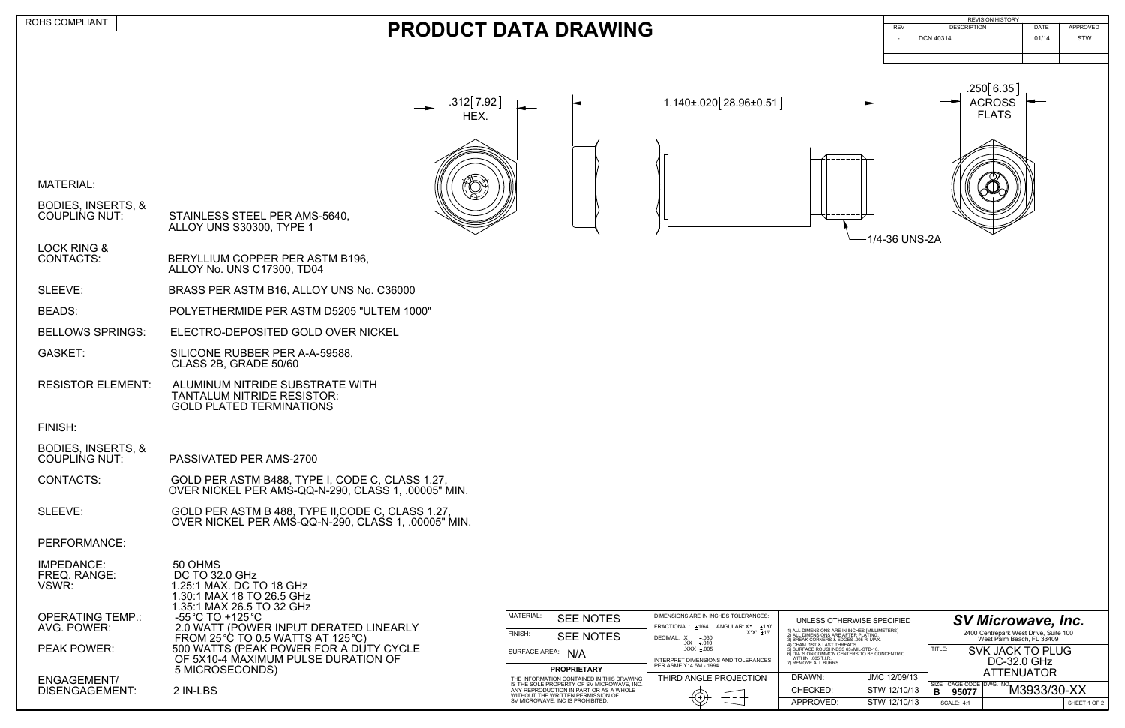BERYLLIUM COPPER PER ASTM B196. ALLOY No. UNS C17300, TD04

MATERIAL:

| STAINLESS STEEL PER AMS-5640,<br>ALLOY UNS S30300, TYPE 1 |
|-----------------------------------------------------------|
|                                                           |

LOCK RING &<br>CONTACTS:

GASKET: SILICONE RUBBER PER A-A-59588, CLASS 2B, GRADE 50/60

BODIES, INSERTS, & PASSIVATED PER AMS-2700

SLEEVE: BRASS PER ASTM B16, ALLOY UNS No. C36000

BEADS: POLYETHERMIDE PER ASTM D5205 "ULTEM 1000"

SLEEVE: GOLD PER ASTM B 488, TYPE II, CODE C, CLASS 1.27, OVER NICKEL PER AMS-QQ-N-290, CLASS 1, .00005" MIN.

BELLOWS SPRINGS: ELECTRO-DEPOSITED GOLD OVER NICKEL

RESISTOR ELEMENT: ALUMINUM NITRIDE SUBSTRATE WITH TANTALUM NITRIDE RESISTOR: GOLD PLATED TERMINATIONS

> 500 WATTS (PEAK POWER FOR A DUTY CYCLE OF 5X10-4 MAXIMUM PULSE DURATION OF

## FINISH:

|            | <b>REVISION HISTORY</b> |       |            |
|------------|-------------------------|-------|------------|
| <b>REV</b> | <b>DESCRIPTION</b>      | DATE  | APPROVED   |
| ۰.         | <b>DCN 40314</b>        | 01/14 | <b>STW</b> |
|            |                         |       |            |
|            |                         |       |            |

DISENGAGEMENT: 2 IN-LBS ENGAGEMENT/

50 OHMS

DC TO 32.0 GHz

CONTACTS: GOLD PER ASTM B488, TYPE I, CODE C, CLASS 1.27, OVER NICKEL PER AMS-QQ-N-290, CLASS 1, .00005" MIN.

PERFORMANCE:

| IMPEDANCE:   |
|--------------|
| FREQ. RANGE: |
| VSWR:        |
|              |

| UNLESS OTHERWISE SPECIFIED                                                                                                     |              |                                                                                            | <b>SV Microwave, Inc.</b> |                                                                    |              |  |
|--------------------------------------------------------------------------------------------------------------------------------|--------------|--------------------------------------------------------------------------------------------|---------------------------|--------------------------------------------------------------------|--------------|--|
| 1) ALL DIMENSIONS ARE IN INCHES [MILLIMETERS]<br>2) ALL DIMENSIONS ARE AFTER PLATING.<br>3) BREAK CORNERS & EDGES .005 R. MAX. |              |                                                                                            |                           | 2400 Centrepark West Drive, Suite 100<br>West Palm Beach, FL 33409 |              |  |
| 4) CHAM. 1ST & LAST THREADS.<br>5) SURFACE ROUGHNESS 63. MIL-STD-10.<br>6) DIA.'S ON COMMON CENTERS TO BE CONCENTRIC           |              |                                                                                            | TITLE:                    | <b>SVK JACK TO PLUG</b>                                            |              |  |
| WITHIN .005 T.I.R.<br>7) REMOVE ALL BURRS                                                                                      |              | DC-32.0 GHz                                                                                |                           |                                                                    |              |  |
| DRAWN:                                                                                                                         | JMC 12/09/13 | <b>ATTENUATOR</b>                                                                          |                           |                                                                    |              |  |
| CHECKED:                                                                                                                       | STW 12/10/13 | $\sqrt{\frac{CAGE\ CODE}{\text{OEAG F}}\sqrt{\frac{DWS. N0}{N}}}$ M3933/30-XX<br>SIZE<br>В |                           |                                                                    |              |  |
| APPROVED:                                                                                                                      | STW 12/10/13 |                                                                                            | <b>SCALE: 4:1</b>         |                                                                    | SHEET 1 OF 2 |  |

OPERATING TEMP.: -55 C TO +125 C AVG. POWER: 2.0 WATT (POWER INPUT DERATED LINEARLY

FROM 25 °C TO 0.5 WATTS AT 125 °C)<br>PEAK POWER: 500 WATTS (PEAK POWER FOR A DU

| MATERIAL:                                                                               | <b>SEE NOTES</b>                                                            | DIMENSIONS ARE IN INCHES TOLERANCES:<br>UNLESS OTHERW<br>FRACTIONAL: +1/64<br>ANGULAR: X <sup>*</sup><br>+1 °0' |                                                                                                                             |  |
|-----------------------------------------------------------------------------------------|-----------------------------------------------------------------------------|-----------------------------------------------------------------------------------------------------------------|-----------------------------------------------------------------------------------------------------------------------------|--|
| FINISH:                                                                                 | <b>SEE NOTES</b>                                                            | $X^{\circ}X^{\prime}$ +15'<br>DECIMAL: .X<br>$+.030$<br>$XX + .010$                                             | 1) ALL DIMENSIONS ARE IN INCH<br>2) ALL DIMENSIONS ARE AFTER<br>3) BREAK CORNERS & EDGES .0<br>4) CHAM, 1ST & LAST THREADS. |  |
| <b>SURFACE AREA:</b><br>N/A<br><b>PROPRIETARY</b>                                       |                                                                             | $XXX + 005$<br>INTERPRET DIMENSIONS AND TOLERANCES                                                              | 5) SURFACE ROUGHNESS 63 <sup>e</sup> M<br>6) DIA.'S ON COMMON CENTERS<br>WITHIN .005 T.I.R.<br>7) REMOVE ALL BURRS          |  |
|                                                                                         |                                                                             | PER ASME Y14.5M - 1994                                                                                          |                                                                                                                             |  |
| THE INFORMATION CONTAINED IN THIS DRAWING<br>IS THE SOLE PROPERTY OF SV MICROWAVE, INC. |                                                                             | THIRD ANGLE PROJECTION                                                                                          | DRAWN:                                                                                                                      |  |
|                                                                                         | ANY REPRODUCTION IN PART OR AS A WHOLE<br>WITHOUT THE WRITTEN PERMISSION OF |                                                                                                                 | CHECKED:                                                                                                                    |  |
|                                                                                         | SV MICROWAVE, INC IS PROHIBITED.                                            |                                                                                                                 | APPROVED:                                                                                                                   |  |

5 MICROSECONDS)

1.25:1 MAX. DC TO 18 GHz 1.30:1 MAX 18 TO 26.5 GHz 1.35:1 MAX 26.5 TO 32 GHz<br>-55 °C TO +125 °C

## **PRODUCT DATA DRAWING**